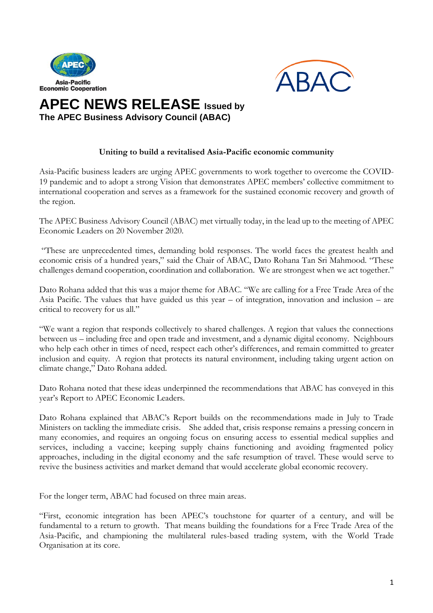



## **APEC NEWS RELEASE Issued by The APEC Business Advisory Council (ABAC)**

## **Uniting to build a revitalised Asia-Pacific economic community**

Asia-Pacific business leaders are urging APEC governments to work together to overcome the COVID-19 pandemic and to adopt a strong Vision that demonstrates APEC members' collective commitment to international cooperation and serves as a framework for the sustained economic recovery and growth of the region.

The APEC Business Advisory Council (ABAC) met virtually today, in the lead up to the meeting of APEC Economic Leaders on 20 November 2020.

"These are unprecedented times, demanding bold responses. The world faces the greatest health and economic crisis of a hundred years," said the Chair of ABAC, Dato Rohana Tan Sri Mahmood. "These challenges demand cooperation, coordination and collaboration. We are strongest when we act together."

Dato Rohana added that this was a major theme for ABAC. "We are calling for a Free Trade Area of the Asia Pacific. The values that have guided us this year – of integration, innovation and inclusion – are critical to recovery for us all."

"We want a region that responds collectively to shared challenges. A region that values the connections between us – including free and open trade and investment, and a dynamic digital economy. Neighbours who help each other in times of need, respect each other's differences, and remain committed to greater inclusion and equity. A region that protects its natural environment, including taking urgent action on climate change," Dato Rohana added.

Dato Rohana noted that these ideas underpinned the recommendations that ABAC has conveyed in this year's Report to APEC Economic Leaders.

Dato Rohana explained that ABAC's Report builds on the recommendations made in July to Trade Ministers on tackling the immediate crisis. She added that, crisis response remains a pressing concern in many economies, and requires an ongoing focus on ensuring access to essential medical supplies and services, including a vaccine; keeping supply chains functioning and avoiding fragmented policy approaches, including in the digital economy and the safe resumption of travel. These would serve to revive the business activities and market demand that would accelerate global economic recovery.

For the longer term, ABAC had focused on three main areas.

"First, economic integration has been APEC's touchstone for quarter of a century, and will be fundamental to a return to growth. That means building the foundations for a Free Trade Area of the Asia-Pacific, and championing the multilateral rules-based trading system, with the World Trade Organisation at its core.